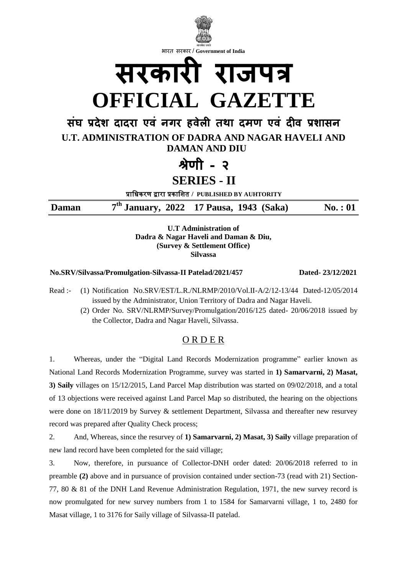

**U.T Administration of Dadra & Nagar Haveli and Daman & Diu, (Survey & Settlement Office) Silvassa**

**No.SRV/Silvassa/Promulgation-Silvassa-II Patelad/2021/457 Dated- 23/12/2021**

- Read :- (1) Notification No.SRV/EST/L.R./NLRMP/2010/Vol.II-A/2/12-13/44 Dated-12/05/2014 issued by the Administrator, Union Territory of Dadra and Nagar Haveli.
	- (2) Order No. SRV/NLRMP/Survey/Promulgation/2016/125 dated- 20/06/2018 issued by the Collector, Dadra and Nagar Haveli, Silvassa.

## O R D E R

1. Whereas, under the "Digital Land Records Modernization programme" earlier known as National Land Records Modernization Programme, survey was started in **1) Samarvarni, 2) Masat, 3) Saily** villages on 15/12/2015, Land Parcel Map distribution was started on 09/02/2018, and a total of 13 objections were received against Land Parcel Map so distributed, the hearing on the objections were done on 18/11/2019 by Survey & settlement Department, Silvassa and thereafter new resurvey record was prepared after Quality Check process;

2. And, Whereas, since the resurvey of **1) Samarvarni, 2) Masat, 3) Saily** village preparation of new land record have been completed for the said village;

3. Now, therefore, in pursuance of Collector-DNH order dated: 20/06/2018 referred to in preamble **(2)** above and in pursuance of provision contained under section-73 (read with 21) Section-77, 80 & 81 of the DNH Land Revenue Administration Regulation, 1971, the new survey record is now promulgated for new survey numbers from 1 to 1584 for Samarvarni village, 1 to, 2480 for Masat village, 1 to 3176 for Saily village of Silvassa-II patelad.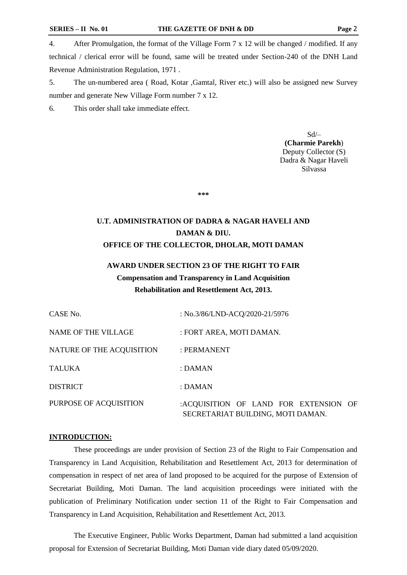4. After Promulgation, the format of the Village Form 7 x 12 will be changed / modified. If any technical / clerical error will be found, same will be treated under Section-240 of the DNH Land Revenue Administration Regulation, 1971 .

5. The un-numbered area ( Road, Kotar ,Gamtal, River etc.) will also be assigned new Survey number and generate New Village Form number 7 x 12.

6. This order shall take immediate effect.

Sd/– **(Charmie Parekh**) Deputy Collector (S) Dadra & Nagar Haveli Silvassa

**\*\*\***

# **U.T. ADMINISTRATION OF DADRA & NAGAR HAVELI AND DAMAN & DIU. OFFICE OF THE COLLECTOR, DHOLAR, MOTI DAMAN**

# **AWARD UNDER SECTION 23 OF THE RIGHT TO FAIR Compensation and Transparency in Land Acquisition Rehabilitation and Resettlement Act, 2013.**

| CASE No.                  | : No.3/86/LND-ACQ/2020-21/5976                                             |
|---------------------------|----------------------------------------------------------------------------|
| NAME OF THE VILLAGE       | : FORT AREA, MOTI DAMAN.                                                   |
| NATURE OF THE ACQUISITION | : PERMANENT                                                                |
| <b>TALUKA</b>             | $:$ DAMAN                                                                  |
| <b>DISTRICT</b>           | : DAMAN                                                                    |
| PURPOSE OF ACQUISITION    | :ACQUISITION OF LAND FOR EXTENSION OF<br>SECRETARIAT BUILDING, MOTI DAMAN. |

#### **INTRODUCTION:**

These proceedings are under provision of Section 23 of the Right to Fair Compensation and Transparency in Land Acquisition, Rehabilitation and Resettlement Act, 2013 for determination of compensation in respect of net area of land proposed to be acquired for the purpose of Extension of Secretariat Building, Moti Daman. The land acquisition proceedings were initiated with the publication of Preliminary Notification under section 11 of the Right to Fair Compensation and Transparency in Land Acquisition, Rehabilitation and Resettlement Act, 2013.

The Executive Engineer, Public Works Department, Daman had submitted a land acquisition proposal for Extension of Secretariat Building, Moti Daman vide diary dated 05/09/2020.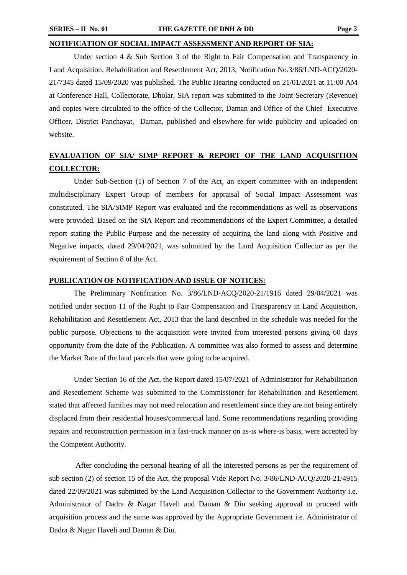#### **NOTIFICATION OF SOCIAL IMPACT ASSESSMENT AND REPORT OF SIA:**

Under section 4 & Sub Section 3 of the Right to Fair Compensation and Transparency in Land Acquisition, Rehabilitation and Resettlement Act, 2013, Notification No.3/86/LND-ACQ/2020- 21/7345 dated 15/09/2020 was published. The Public Hearing conducted on 21/01/2021 at 11:00 AM at Conference Hall, Collectorate, Dholar, SIA report was submitted to the Joint Secretary (Revenue) and copies were circulated to the office of the Collector, Daman and Office of the Chief Executive Officer, District Panchayat, Daman, published and elsewhere for wide publicity and uploaded on website.

# **EVALUATION OF SIA/ SIMP REPORT & REPORT OF THE LAND ACQUISITION COLLECTOR:**

Under Sub-Section (1) of Section 7 of the Act, an expert committee with an independent multidisciplinary Expert Group of members for appraisal of Social Impact Assessment was constituted. The SIA/SIMP Report was evaluated and the recommendations as well as observations were provided. Based on the SIA Report and recommendations of the Expert Committee, a detailed report stating the Public Purpose and the necessity of acquiring the land along with Positive and Negative impacts, dated 29/04/2021, was submitted by the Land Acquisition Collector as per the requirement of Section 8 of the Act.

### **PUBLICATION OF NOTIFICATION AND ISSUE OF NOTICES:**

The Preliminary Notification No. 3/86/LND-ACQ/2020-21/1916 dated 29/04/2021 was notified under section 11 of the Right to Fair Compensation and Transparency in Land Acquisition, Rehabilitation and Resettlement Act, 2013 that the land described in the schedule was needed for the public purpose. Objections to the acquisition were invited from interested persons giving 60 days opportunity from the date of the Publication. A committee was also formed to assess and determine the Market Rate of the land parcels that were going to be acquired.

Under Section 16 of the Act, the Report dated 15/07/2021 of Administrator for Rehabilitation and Resettlement Scheme was submitted to the Commissioner for Rehabilitation and Resettlement stated that affected families may not need relocation and resettlement since they are not being entirely displaced from their residential houses/commercial land. Some recommendations regarding providing repairs and reconstruction permission in a fast-track manner on as-is where-is basis, were accepted by the Competent Authority.

After concluding the personal hearing of all the interested persons as per the requirement of sub section (2) of section 15 of the Act, the proposal Vide Report No. 3/86/LND-ACQ/2020-21/4915 dated 22/09/2021 was submitted by the Land Acquisition Collector to the Government Authority i.e. Administrator of Dadra & Nagar Haveli and Daman & Diu seeking approval to proceed with acquisition process and the same was approved by the Appropriate Government i.e. Administrator of Dadra & Nagar Haveli and Daman & Diu.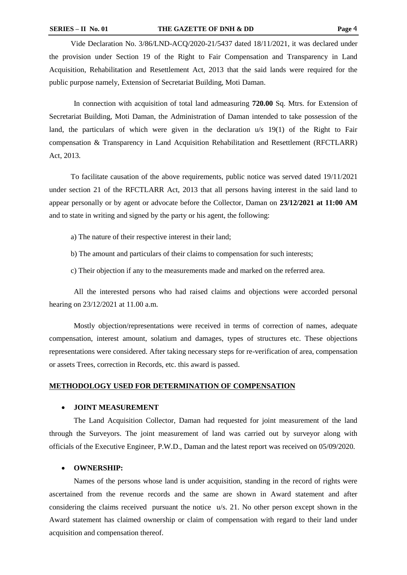Vide Declaration No. 3/86/LND-ACQ/2020-21/5437 dated 18/11/2021, it was declared under the provision under Section 19 of the Right to Fair Compensation and Transparency in Land Acquisition, Rehabilitation and Resettlement Act, 2013 that the said lands were required for the public purpose namely, Extension of Secretariat Building, Moti Daman.

In connection with acquisition of total land admeasuring **720.00** Sq. Mtrs. for Extension of Secretariat Building, Moti Daman, the Administration of Daman intended to take possession of the land, the particulars of which were given in the declaration u/s 19(1) of the Right to Fair compensation & Transparency in Land Acquisition Rehabilitation and Resettlement (RFCTLARR) Act, 2013.

To facilitate causation of the above requirements, public notice was served dated 19/11/2021 under section 21 of the RFCTLARR Act, 2013 that all persons having interest in the said land to appear personally or by agent or advocate before the Collector, Daman on **23/12/2021 at 11:00 AM** and to state in writing and signed by the party or his agent, the following:

- a) The nature of their respective interest in their land;
- b) The amount and particulars of their claims to compensation for such interests;
- c) Their objection if any to the measurements made and marked on the referred area.

All the interested persons who had raised claims and objections were accorded personal hearing on 23/12/2021 at 11.00 a.m.

Mostly objection/representations were received in terms of correction of names, adequate compensation, interest amount, solatium and damages, types of structures etc. These objections representations were considered. After taking necessary steps for re-verification of area, compensation or assets Trees, correction in Records, etc. this award is passed.

#### **METHODOLOGY USED FOR DETERMINATION OF COMPENSATION**

#### **JOINT MEASUREMENT**

The Land Acquisition Collector, Daman had requested for joint measurement of the land through the Surveyors. The joint measurement of land was carried out by surveyor along with officials of the Executive Engineer, P.W.D., Daman and the latest report was received on 05/09/2020.

#### **OWNERSHIP:**

Names of the persons whose land is under acquisition, standing in the record of rights were ascertained from the revenue records and the same are shown in Award statement and after considering the claims received pursuant the notice u/s. 21. No other person except shown in the Award statement has claimed ownership or claim of compensation with regard to their land under acquisition and compensation thereof.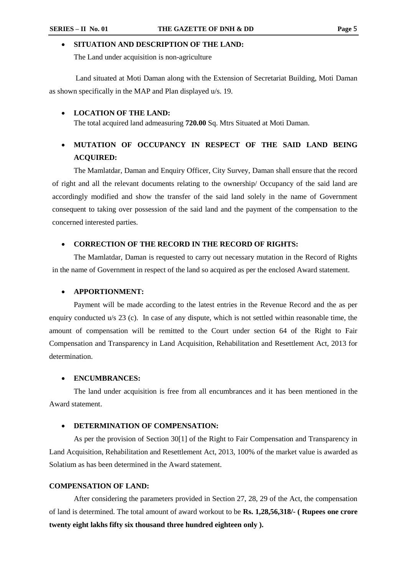#### **SITUATION AND DESCRIPTION OF THE LAND:**

The Land under acquisition is non-agriculture

Land situated at Moti Daman along with the Extension of Secretariat Building, Moti Daman as shown specifically in the MAP and Plan displayed u/s. 19.

#### **LOCATION OF THE LAND:**

The total acquired land admeasuring **720.00** Sq. Mtrs Situated at Moti Daman.

# **MUTATION OF OCCUPANCY IN RESPECT OF THE SAID LAND BEING ACQUIRED:**

The Mamlatdar, Daman and Enquiry Officer, City Survey, Daman shall ensure that the record of right and all the relevant documents relating to the ownership/ Occupancy of the said land are accordingly modified and show the transfer of the said land solely in the name of Government consequent to taking over possession of the said land and the payment of the compensation to the concerned interested parties.

#### **CORRECTION OF THE RECORD IN THE RECORD OF RIGHTS:**

The Mamlatdar, Daman is requested to carry out necessary mutation in the Record of Rights in the name of Government in respect of the land so acquired as per the enclosed Award statement.

#### **APPORTIONMENT:**

Payment will be made according to the latest entries in the Revenue Record and the as per enquiry conducted u/s 23 (c). In case of any dispute, which is not settled within reasonable time, the amount of compensation will be remitted to the Court under section 64 of the Right to Fair Compensation and Transparency in Land Acquisition, Rehabilitation and Resettlement Act, 2013 for determination.

#### **ENCUMBRANCES:**

The land under acquisition is free from all encumbrances and it has been mentioned in the Award statement.

#### **DETERMINATION OF COMPENSATION:**

As per the provision of Section 30[1] of the Right to Fair Compensation and Transparency in Land Acquisition, Rehabilitation and Resettlement Act, 2013, 100% of the market value is awarded as Solatium as has been determined in the Award statement.

#### **COMPENSATION OF LAND:**

After considering the parameters provided in Section 27, 28, 29 of the Act, the compensation of land is determined. The total amount of award workout to be **Rs. 1,28,56,318/- ( Rupees one crore twenty eight lakhs fifty six thousand three hundred eighteen only ).**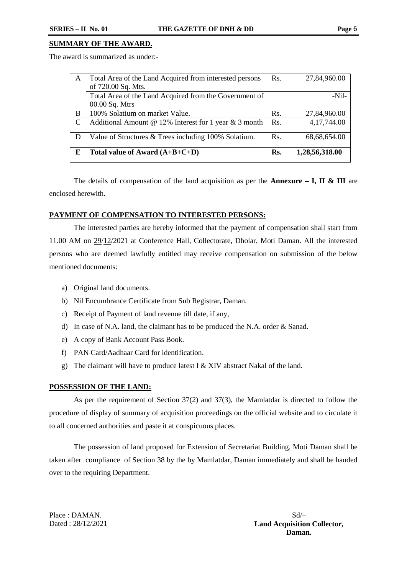### **SUMMARY OF THE AWARD.**

The award is summarized as under:-

| A | Total Area of the Land Acquired from interested persons | Rs. | 27,84,960.00   |
|---|---------------------------------------------------------|-----|----------------|
|   | of 720.00 Sq. Mts.                                      |     |                |
|   | Total Area of the Land Acquired from the Government of  |     | $-Nil-$        |
|   | 00.00 Sq. Mtrs                                          |     |                |
| B | 100% Solatium on market Value.                          | Rs. | 27,84,960.00   |
| C | Additional Amount @ 12% Interest for 1 year & 3 month   | Rs. | 4,17,744.00    |
|   |                                                         |     |                |
| D | Value of Structures & Trees including 100% Solatium.    | Rs. | 68,68,654.00   |
|   |                                                         |     |                |
| E | Total value of Award $(A+B+C+D)$                        | Rs. | 1,28,56,318.00 |
|   |                                                         |     |                |

The details of compensation of the land acquisition as per the **Annexure – I, II & III** are enclosed herewith**.**

#### **PAYMENT OF COMPENSATION TO INTERESTED PERSONS:**

The interested parties are hereby informed that the payment of compensation shall start from 11.00 AM on 29/12/2021 at Conference Hall, Collectorate, Dholar, Moti Daman. All the interested persons who are deemed lawfully entitled may receive compensation on submission of the below mentioned documents:

- a) Original land documents.
- b) Nil Encumbrance Certificate from Sub Registrar, Daman.
- c) Receipt of Payment of land revenue till date, if any,
- d) In case of N.A. land, the claimant has to be produced the N.A. order & Sanad.
- e) A copy of Bank Account Pass Book.
- f) PAN Card/Aadhaar Card for identification.
- g) The claimant will have to produce latest I  $& XIV$  abstract Nakal of the land.

#### **POSSESSION OF THE LAND:**

As per the requirement of Section 37(2) and 37(3), the Mamlatdar is directed to follow the procedure of display of summary of acquisition proceedings on the official website and to circulate it to all concerned authorities and paste it at conspicuous places.

The possession of land proposed for Extension of Secretariat Building, Moti Daman shall be taken after compliance of Section 38 by the by Mamlatdar, Daman immediately and shall be handed over to the requiring Department.

Place : DAMAN. Dated : 28/12/2021

 $Sd$ **Land Acquisition Collector, Daman.**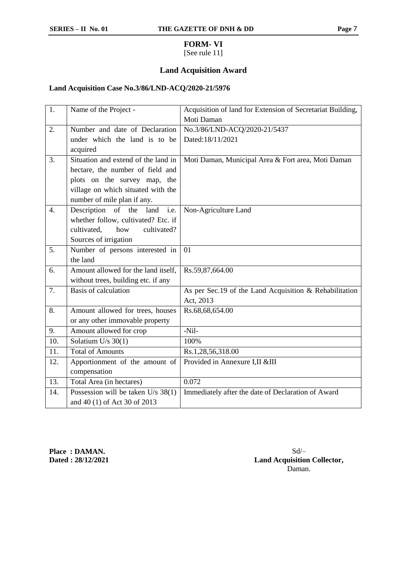## **FORM- VI**

## [See rule 11]

## **Land Acquisition Award**

## **Land Acquisition Case No.3/86/LND-ACQ/2020-21/5976**

| 1.               | Name of the Project -                | Acquisition of land for Extension of Secretariat Building, |
|------------------|--------------------------------------|------------------------------------------------------------|
|                  |                                      | Moti Daman                                                 |
| 2.               | Number and date of Declaration       | No.3/86/LND-ACQ/2020-21/5437                               |
|                  | under which the land is to be        | Dated:18/11/2021                                           |
|                  | acquired                             |                                                            |
| 3.               | Situation and extend of the land in  | Moti Daman, Municipal Area & Fort area, Moti Daman         |
|                  | hectare, the number of field and     |                                                            |
|                  | plots on the survey map, the         |                                                            |
|                  | village on which situated with the   |                                                            |
|                  | number of mile plan if any.          |                                                            |
| $\overline{4}$ . | Description of the land<br>i.e.      | Non-Agriculture Land                                       |
|                  | whether follow, cultivated? Etc. if  |                                                            |
|                  | cultivated,<br>how<br>cultivated?    |                                                            |
|                  | Sources of irrigation                |                                                            |
| 5.               | Number of persons interested in      | 01                                                         |
|                  | the land                             |                                                            |
| 6.               | Amount allowed for the land itself,  | Rs.59,87,664.00                                            |
|                  | without trees, building etc. if any  |                                                            |
| 7.               | <b>Basis of calculation</b>          | As per Sec.19 of the Land Acquisition & Rehabilitation     |
|                  |                                      | Act, 2013                                                  |
| 8.               | Amount allowed for trees, houses     | Rs.68,68,654.00                                            |
|                  | or any other immovable property      |                                                            |
| 9.               | Amount allowed for crop              | $-Nil-$                                                    |
| 10.              | Solatium U/s $30(1)$                 | 100%                                                       |
| 11.              | <b>Total of Amounts</b>              | Rs.1,28,56,318.00                                          |
| 12.              | Apportionment of the amount of       | Provided in Annexure I,II &III                             |
|                  | compensation                         |                                                            |
| 13.              | Total Area (in hectares)             | 0.072                                                      |
| 14.              | Possession will be taken $U/s$ 38(1) | Immediately after the date of Declaration of Award         |
|                  | and 40 (1) of Act 30 of 2013         |                                                            |

**Place : DAMAN. Dated : 28/12/2021**

 $Sd/-$ **Land Acquisition Collector,** Daman.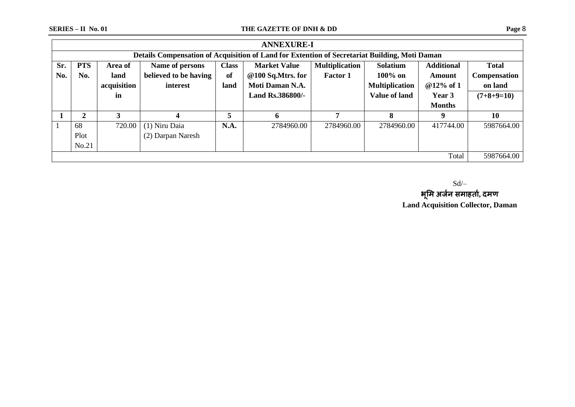|                     | <b>ANNEXURE-I</b>                                                                                                                         |             |                       |      |                   |                 |                       |               |                     |  |  |
|---------------------|-------------------------------------------------------------------------------------------------------------------------------------------|-------------|-----------------------|------|-------------------|-----------------|-----------------------|---------------|---------------------|--|--|
|                     | Details Compensation of Acquisition of Land for Extention of Secretariat Building, Moti Daman                                             |             |                       |      |                   |                 |                       |               |                     |  |  |
| Sr.                 | <b>PTS</b><br><b>Multiplication</b><br>Solatium<br><b>Additional</b><br><b>Class</b><br><b>Market Value</b><br>Name of persons<br>Area of |             |                       |      |                   |                 |                       |               |                     |  |  |
| No.                 | No.                                                                                                                                       | land        | believed to be having | of   | @100 Sq.Mtrs. for | <b>Factor 1</b> | $100\%$ on            | Amount        | <b>Compensation</b> |  |  |
|                     |                                                                                                                                           | acquisition | interest              | land | Moti Daman N.A.   |                 | <b>Multiplication</b> | @12% of 1     | on land             |  |  |
|                     |                                                                                                                                           | in          |                       |      | Land Rs.386800/-  |                 | <b>Value of land</b>  | Year 3        | $(7+8+9=10)$        |  |  |
|                     |                                                                                                                                           |             |                       |      |                   |                 |                       | <b>Months</b> |                     |  |  |
|                     | 2                                                                                                                                         |             |                       | 5    | 6                 | 7               | 8                     | 9             | <b>10</b>           |  |  |
|                     | 68                                                                                                                                        | 720.00      | (1) Niru Daia         | N.A. | 2784960.00        | 2784960.00      | 2784960.00            | 417744.00     | 5987664.00          |  |  |
|                     | Plot                                                                                                                                      |             | (2) Darpan Naresh     |      |                   |                 |                       |               |                     |  |  |
|                     | No.21                                                                                                                                     |             |                       |      |                   |                 |                       |               |                     |  |  |
| Total<br>5987664.00 |                                                                                                                                           |             |                       |      |                   |                 |                       |               |                     |  |  |

 $Sd$ /–

**भमूम अजजन समाहताज, दमण Land Acquisition Collector, Daman**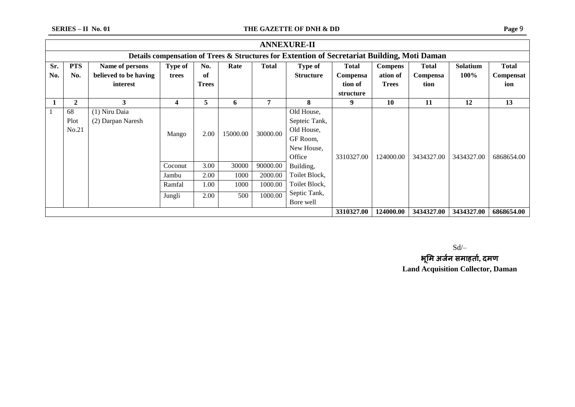|                                                                                              | <b>ANNEXURE-II</b>                                  |                       |         |              |          |              |                  |              |                |              |            |              |
|----------------------------------------------------------------------------------------------|-----------------------------------------------------|-----------------------|---------|--------------|----------|--------------|------------------|--------------|----------------|--------------|------------|--------------|
| Details compensation of Trees & Structures for Extention of Secretariat Building, Moti Daman |                                                     |                       |         |              |          |              |                  |              |                |              |            |              |
| Sr.                                                                                          | <b>PTS</b>                                          | Name of persons       | Type of | No.          | Rate     | <b>Total</b> | <b>Type of</b>   | <b>Total</b> | <b>Compens</b> | <b>Total</b> | Solatium   | <b>Total</b> |
| No.                                                                                          | No.                                                 | believed to be having | trees   | of           |          |              | <b>Structure</b> | Compensa     | ation of       | Compensa     | 100%       | Compensat    |
|                                                                                              |                                                     | interest              |         | <b>Trees</b> |          |              |                  | tion of      | <b>Trees</b>   | tion         |            | ion          |
|                                                                                              |                                                     |                       |         |              |          |              |                  | structure    |                |              |            |              |
|                                                                                              | $\mathbf{2}$                                        | 3                     | 4       | 5            | 6        | 7            | 8                | 9            | 10             | 11           | 12         | 13           |
|                                                                                              | 68                                                  | (1) Niru Daia         |         |              |          |              | Old House,       |              |                |              |            |              |
|                                                                                              | Plot                                                | (2) Darpan Naresh     |         |              |          |              | Septeic Tank,    |              |                |              |            |              |
|                                                                                              | No.21                                               |                       |         | 2.00         | 15000.00 | 30000.00     | Old House,       |              |                |              |            |              |
|                                                                                              |                                                     |                       | Mango   |              |          |              | GF Room,         |              |                |              |            |              |
|                                                                                              |                                                     |                       |         |              |          |              | New House,       |              |                |              |            |              |
|                                                                                              |                                                     |                       |         |              |          |              | Office           | 3310327.00   | 124000.00      | 3434327.00   | 3434327.00 | 6868654.00   |
|                                                                                              |                                                     |                       | Coconut | 3.00         | 30000    | 90000.00     | Building,        |              |                |              |            |              |
|                                                                                              |                                                     |                       | Jambu   | 2.00         | 1000     | 2000.00      | Toilet Block,    |              |                |              |            |              |
|                                                                                              |                                                     |                       | Ramfal  | 1.00         | 1000     | 1000.00      | Toilet Block,    |              |                |              |            |              |
|                                                                                              |                                                     |                       | Jungli  | 2.00         | 500      | 1000.00      | Septic Tank,     |              |                |              |            |              |
|                                                                                              |                                                     |                       |         |              |          |              | Bore well        |              |                |              |            |              |
|                                                                                              | 3310327.00<br>3434327.00<br>3434327.00<br>124000.00 |                       |         |              |          |              |                  |              |                |              |            | 6868654.00   |

Sd/–

**भमूम अजजन समाहताज, दमण Land Acquisition Collector, Daman**